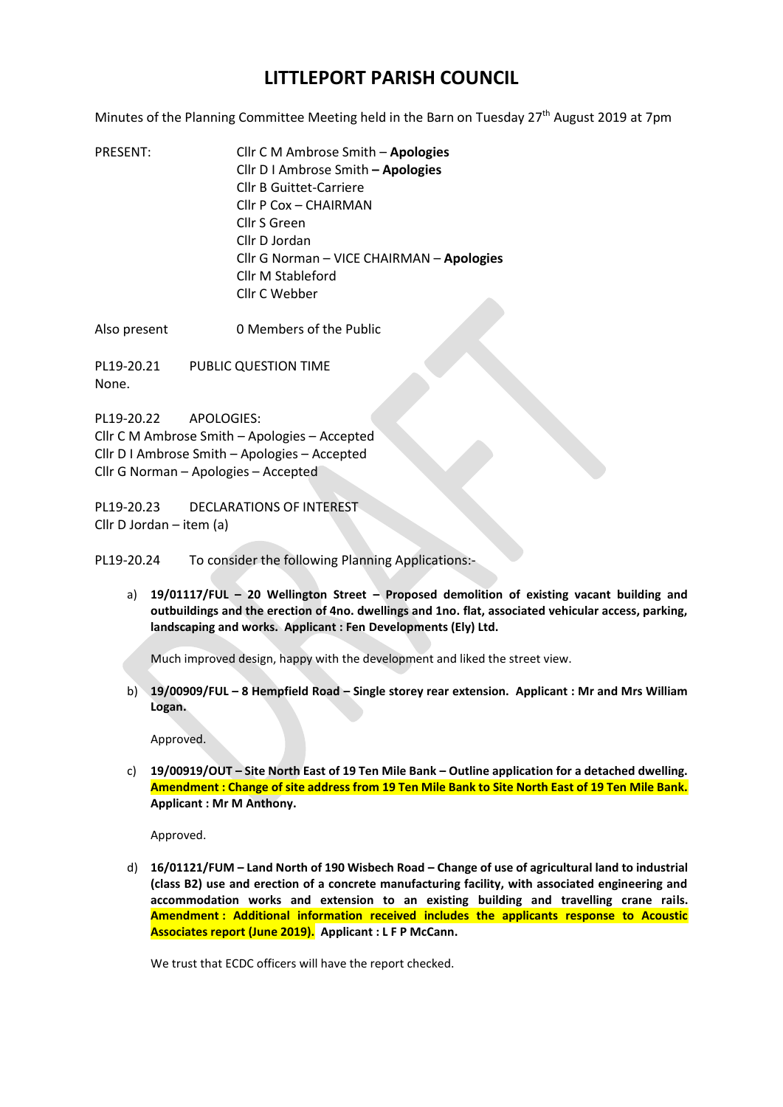## **LITTLEPORT PARISH COUNCIL**

Minutes of the Planning Committee Meeting held in the Barn on Tuesday 27<sup>th</sup> August 2019 at 7pm

PRESENT: Cllr C M Ambrose Smith – **Apologies** Cllr D I Ambrose Smith **– Apologies**  Cllr B Guittet-Carriere Cllr P Cox – CHAIRMAN Cllr S Green Cllr D Jordan Cllr G Norman – VICE CHAIRMAN – **Apologies** Cllr M Stableford Cllr C Webber

Also present 0 Members of the Public

PL19-20.21 PUBLIC QUESTION TIME None.

PL19-20.22 APOLOGIES: Cllr C M Ambrose Smith – Apologies – Accepted Cllr D I Ambrose Smith – Apologies – Accepted Cllr G Norman – Apologies – Accepted

PL19-20.23 DECLARATIONS OF INTEREST Cllr D Jordan – item (a)

PL19-20.24 To consider the following Planning Applications:-

a) **19/01117/FUL – 20 Wellington Street – Proposed demolition of existing vacant building and outbuildings and the erection of 4no. dwellings and 1no. flat, associated vehicular access, parking, landscaping and works. Applicant : Fen Developments (Ely) Ltd.**

Much improved design, happy with the development and liked the street view.

b) **19/00909/FUL – 8 Hempfield Road – Single storey rear extension. Applicant : Mr and Mrs William Logan.**

Approved.

c) **19/00919/OUT – Site North East of 19 Ten Mile Bank – Outline application for a detached dwelling. Amendment : Change of site address from 19 Ten Mile Bank to Site North East of 19 Ten Mile Bank. Applicant : Mr M Anthony.**

Approved.

d) **16/01121/FUM – Land North of 190 Wisbech Road – Change of use of agricultural land to industrial (class B2) use and erection of a concrete manufacturing facility, with associated engineering and accommodation works and extension to an existing building and travelling crane rails. Amendment : Additional information received includes the applicants response to Acoustic Associates report (June 2019). Applicant : L F P McCann.**

We trust that ECDC officers will have the report checked.